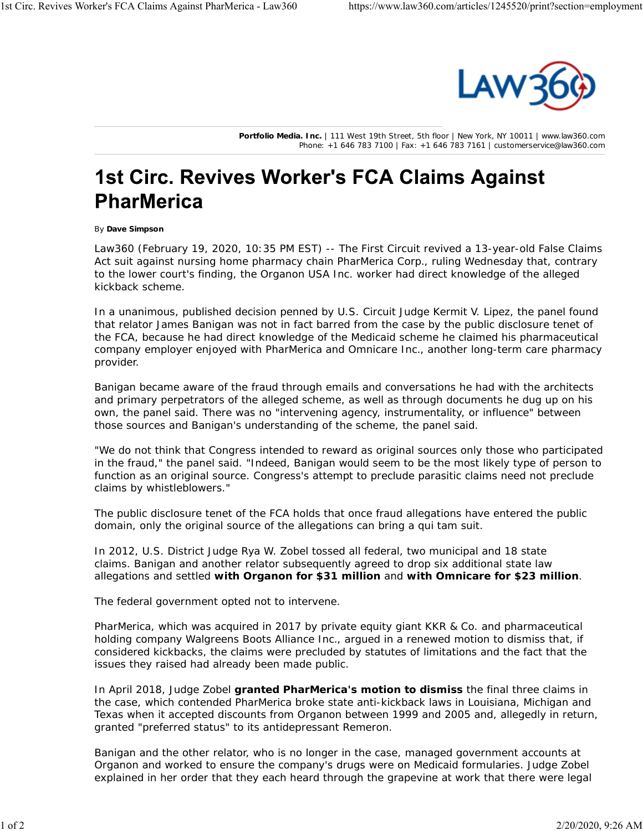

**Portfolio Media. Inc.** | 111 West 19th Street, 5th floor | New York, NY 10011 | www.law360.com Phone: +1 646 783 7100 | Fax: +1 646 783 7161 | customerservice@law360.com

## 1st Circ. Revives Worker's FCA Claims Against **PharMerica**

## By **Dave Simpson**

Law360 (February 19, 2020, 10:35 PM EST) -- The First Circuit revived a 13-year-old False Claims Act suit against nursing home pharmacy chain PharMerica Corp., ruling Wednesday that, contrary to the lower court's finding, the Organon USA Inc. worker had direct knowledge of the alleged kickback scheme.

In a unanimous, published decision penned by U.S. Circuit Judge Kermit V. Lipez, the panel found that relator James Banigan was not in fact barred from the case by the public disclosure tenet of the FCA, because he had direct knowledge of the Medicaid scheme he claimed his pharmaceutical company employer enjoyed with PharMerica and Omnicare Inc., another long-term care pharmacy provider.

Banigan became aware of the fraud through emails and conversations he had with the architects and primary perpetrators of the alleged scheme, as well as through documents he dug up on his own, the panel said. There was no "intervening agency, instrumentality, or influence" between those sources and Banigan's understanding of the scheme, the panel said.

"We do not think that Congress intended to reward as original sources only those who participated in the fraud," the panel said. "Indeed, Banigan would seem to be the most likely type of person to function as an original source. Congress's attempt to preclude parasitic claims need not preclude claims by whistleblowers."

The public disclosure tenet of the FCA holds that once fraud allegations have entered the public domain, only the original source of the allegations can bring a qui tam suit.

In 2012, U.S. District Judge Rya W. Zobel tossed all federal, two municipal and 18 state claims. Banigan and another relator subsequently agreed to drop six additional state law allegations and settled **with Organon for \$31 million** and **with Omnicare for \$23 million**.

The federal government opted not to intervene.

PharMerica, which was acquired in 2017 by private equity giant KKR & Co. and pharmaceutical holding company Walgreens Boots Alliance Inc., argued in a renewed motion to dismiss that, if considered kickbacks, the claims were precluded by statutes of limitations and the fact that the issues they raised had already been made public.

In April 2018, Judge Zobel **granted PharMerica's motion to dismiss** the final three claims in the case, which contended PharMerica broke state anti-kickback laws in Louisiana, Michigan and Texas when it accepted discounts from Organon between 1999 and 2005 and, allegedly in return, granted "preferred status" to its antidepressant Remeron.

Banigan and the other relator, who is no longer in the case, managed government accounts at Organon and worked to ensure the company's drugs were on Medicaid formularies. Judge Zobel explained in her order that they each heard through the grapevine at work that there were legal